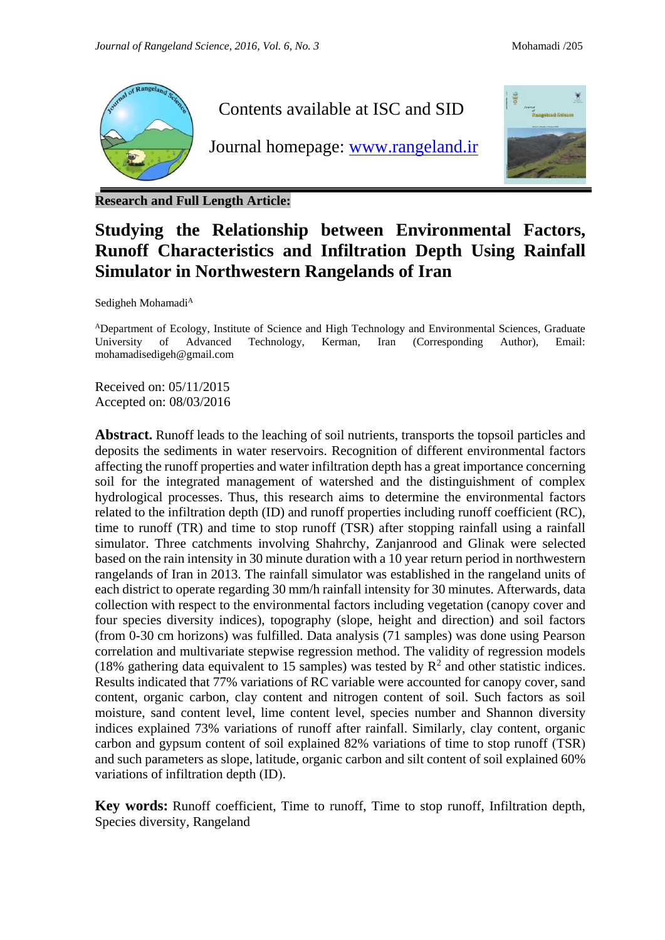

Contents available at ISC and SID

Journal homepage: [www.rangeland.ir](http://www.rangeland.ir/)



**Research and Full Length Article:**

## **Studying the Relationship between Environmental Factors, Runoff Characteristics and Infiltration Depth Using Rainfall Simulator in Northwestern Rangelands of Iran**

Sedigheh Mohamadi<sup>A</sup>

<sup>A</sup>Department of Ecology, Institute of Science and High Technology and Environmental Sciences, Graduate University of Advanced Technology, Kerman, Iran (Corresponding Author), Email: [mohamadisedigeh@gmail.com](mailto:mohamadisedigeh@gmail.com)

Received on: 05/11/2015 Accepted on: 08/03/2016

**Abstract.** Runoff leads to the leaching of soil nutrients, transports the topsoil particles and deposits the sediments in water reservoirs. Recognition of different environmental factors affecting the runoff properties and water infiltration depth has a great importance concerning soil for the integrated management of watershed and the distinguishment of complex hydrological processes. Thus, this research aims to determine the environmental factors related to the infiltration depth (ID) and runoff properties including runoff coefficient (RC), time to runoff (TR) and time to stop runoff (TSR) after stopping rainfall using a rainfall simulator. Three catchments involving Shahrchy, Zanjanrood and Glinak were selected based on the rain intensity in 30 minute duration with a 10 year return period in northwestern rangelands of Iran in 2013. The rainfall simulator was established in the rangeland units of each district to operate regarding 30 mm/h rainfall intensity for 30 minutes. Afterwards, data collection with respect to the environmental factors including vegetation (canopy cover and four species diversity indices), topography (slope, height and direction) and soil factors (from 0-30 cm horizons) was fulfilled. Data analysis (71 samples) was done using Pearson correlation and multivariate stepwise regression method. The validity of regression models (18% gathering data equivalent to 15 samples) was tested by  $R^2$  and other statistic indices. Results indicated that 77% variations of RC variable were accounted for canopy cover, sand content, organic carbon, clay content and nitrogen content of soil. Such factors as soil moisture, sand content level, lime content level, species number and Shannon diversity indices explained 73% variations of runoff after rainfall. Similarly, clay content, organic carbon and gypsum content of soil explained  $82\%$  variations of time to stop runoff (TSR) and such parameters as slope, latitude, organic carbon and silt content of soil explained 60% variations of infiltration depth (ID).

**Key words:** Runoff coefficient, Time to runoff, Time to stop runoff, Infiltration depth, Species diversity, Rangeland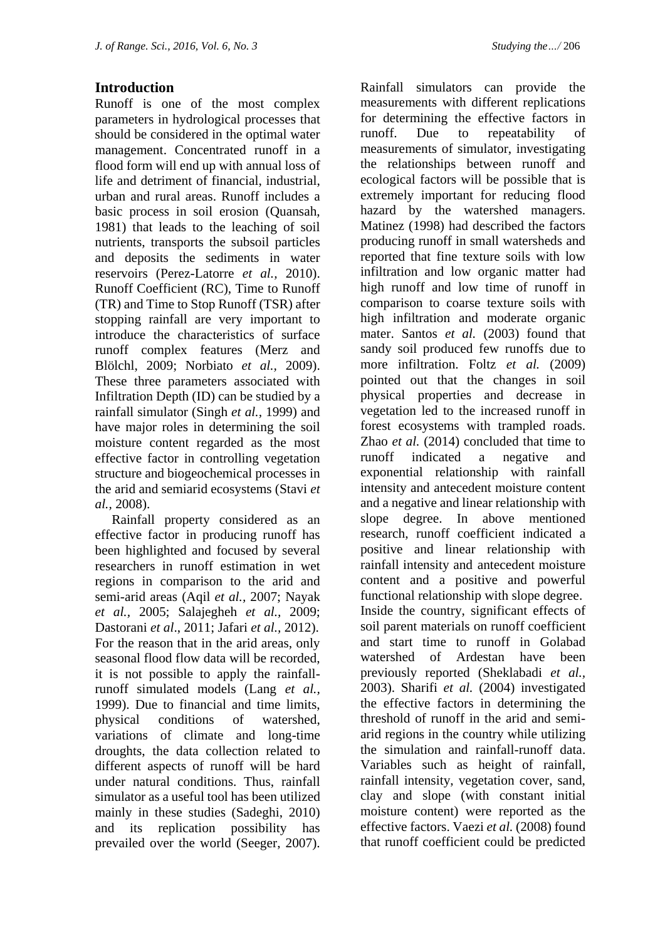### **Introduction**

Runoff is one of the most complex parameters in hydrological processes that should be considered in the optimal water management. Concentrated runoff in a flood form will end up with annual loss of life and detriment of financial, industrial, urban and rural areas. Runoff includes a basic process in soil erosion (Quansah, 1981) that leads to the leaching of soil nutrients, transports the subsoil particles and deposits the sediments in water reservoirs (Perez-Latorre *et al.,* 2010). Runoff Coefficient (RC), Time to Runoff (TR) and Time to Stop Runoff (TSR) after stopping rainfall are very important to introduce the characteristics of surface runoff complex features (Merz and Blölchl, 2009; Norbiato *et al.,* 2009). These three parameters associated with Infiltration Depth (ID) can be studied by a rainfall simulator (Singh *et al.,* 1999) and have major roles in determining the soil moisture content regarded as the most effective factor in controlling vegetation structure and biogeochemical processes in the arid and semiarid ecosystems (Stavi *et al.,* 2008).

 Rainfall property considered as an effective factor in producing runoff has been highlighted and focused by several researchers in runoff estimation in wet regions in comparison to the arid and semi-arid areas (Aqil *et al.,* 2007; Nayak *et al.,* 2005; Salajegheh *et al.,* 2009; Dastorani *et al*., 2011; Jafari *et al.,* 2012). For the reason that in the arid areas, only seasonal flood flow data will be recorded, it is not possible to apply the rainfallrunoff simulated models (Lang *et al.,* 1999). Due to financial and time limits, physical conditions of watershed, variations of climate and long-time droughts, the data collection related to different aspects of runoff will be hard under natural conditions. Thus, rainfall simulator as a useful tool has been utilized mainly in these studies (Sadeghi, 2010) and its replication possibility has prevailed over the world (Seeger, 2007).

Rainfall simulators can provide the measurements with different replications for determining the effective factors in runoff. Due to repeatability of measurements of simulator, investigating the relationships between runoff and ecological factors will be possible that is extremely important for reducing flood hazard by the watershed managers. Matinez (1998) had described the factors producing runoff in small watersheds and reported that fine texture soils with low infiltration and low organic matter had high runoff and low time of runoff in comparison to coarse texture soils with high infiltration and moderate organic mater. Santos *et al.* (2003) found that sandy soil produced few runoffs due to more infiltration. Foltz *et al.* (2009) pointed out that the changes in soil physical properties and decrease in vegetation led to the increased runoff in forest ecosystems with trampled roads. Zhao *et al.* (2014) concluded that time to runoff indicated a negative and exponential relationship with rainfall intensity and antecedent moisture content and a negative and linear relationship with slope degree. In above mentioned research, runoff coefficient indicated a positive and linear relationship with rainfall intensity and antecedent moisture content and a positive and powerful functional relationship with slope degree. Inside the country, significant effects of soil parent materials on runoff coefficient and start time to runoff in Golabad watershed of Ardestan have been previously reported (Sheklabadi *et al.,* 2003). Sharifi *et al.* (2004) investigated the effective factors in determining the threshold of runoff in the arid and semiarid regions in the country while utilizing the simulation and rainfall-runoff data. Variables such as height of rainfall, rainfall intensity, vegetation cover, sand, clay and slope (with constant initial moisture content) were reported as the effective factors. Vaezi *et al.* (2008) found that runoff coefficient could be predicted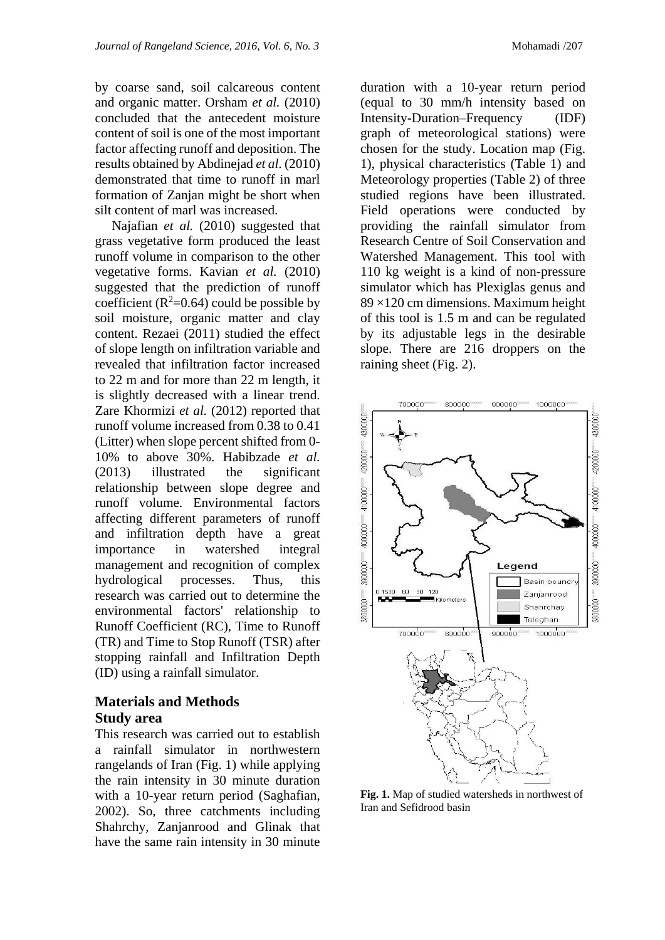by coarse sand, soil calcareous content and organic matter. Orsham *et al.* (2010) concluded that the antecedent moisture content of soil is one of the most important factor affecting runoff and deposition. The results obtained by Abdinejad *et al*. (2010) demonstrated that time to runoff in marl formation of Zanjan might be short when silt content of marl was increased.

 Najafian *et al.* (2010) suggested that grass vegetative form produced the least runoff volume in comparison to the other vegetative forms. Kavian *et al.* (2010) suggested that the prediction of runoff coefficient ( $R^2$ =0.64) could be possible by soil moisture, organic matter and clay content. Rezaei (2011) studied the effect of slope length on infiltration variable and revealed that infiltration factor increased to 22 m and for more than 22 m length, it is slightly decreased with a linear trend. Zare Khormizi *et al.* (2012) reported that runoff volume increased from 0.38 to 0.41 (Litter) when slope percent shifted from 0- 10% to above 30%. Habibzade *et al.* (2013) illustrated the significant relationship between slope degree and runoff volume. Environmental factors affecting different parameters of runoff and infiltration depth have a great importance in watershed integral management and recognition of complex hydrological processes. Thus, this research was carried out to determine the environmental factors' relationship to Runoff Coefficient (RC), Time to Runoff (TR) and Time to Stop Runoff (TSR) after stopping rainfall and Infiltration Depth (ID) using a rainfall simulator.

#### **Materials and Methods Study area**

This research was carried out to establish a rainfall simulator in northwestern rangelands of Iran (Fig. 1) while applying the rain intensity in 30 minute duration with a 10-year return period (Saghafian, 2002). So, three catchments including Shahrchy, Zanjanrood and Glinak that have the same rain intensity in 30 minute

duration with a 10-year return period (equal to 30 mm/h intensity based on Intensity-Duration–Frequency (IDF) graph of meteorological stations) were chosen for the study. Location map (Fig. 1), physical characteristics (Table 1) and Meteorology properties (Table 2) of three studied regions have been illustrated. Field operations were conducted by providing the rainfall simulator from Research Centre of Soil Conservation and Watershed Management. This tool with 110 kg weight is a kind of non-pressure simulator which has Plexiglas genus and  $89 \times 120$  cm dimensions. Maximum height of this tool is 1.5 m and can be regulated by its adjustable legs in the desirable slope. There are 216 droppers on the raining sheet (Fig. 2).



**Fig. 1.** Map of studied watersheds in northwest of Iran and Sefidrood basin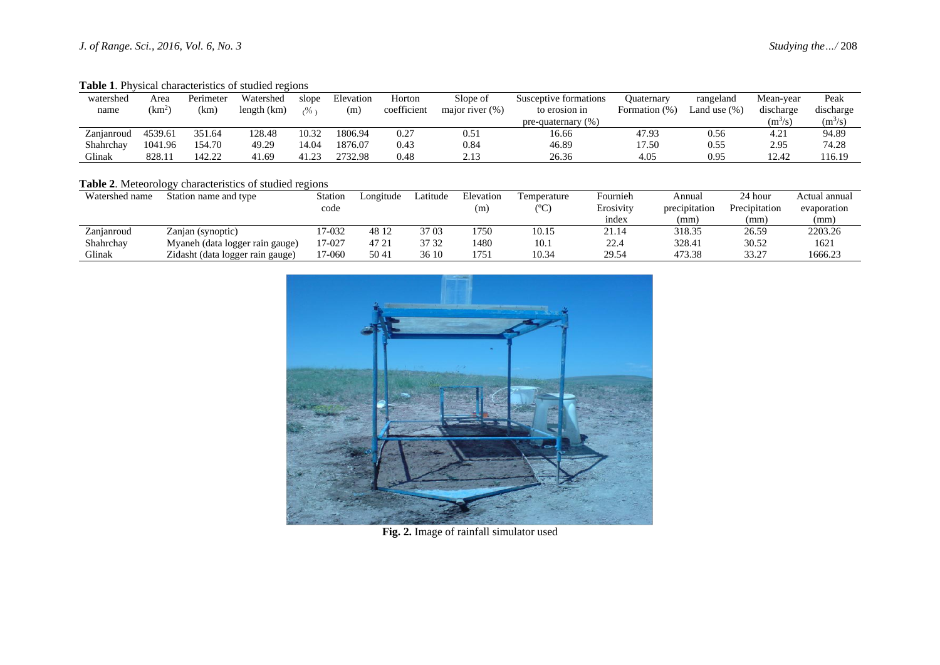**Table 1**. Physical characteristics of studied regions

| watershed  | Area             | Perimeter | Watershed   | slope         | Elevation | Horton      | Slope of           | Susceptive formations  | Ouaternary    | rangeland    | Mean-year | Peak                |
|------------|------------------|-----------|-------------|---------------|-----------|-------------|--------------------|------------------------|---------------|--------------|-----------|---------------------|
| name       | (km <sup>2</sup> | (km)      | length (km) | $\frac{0}{6}$ | (m)       | coefficient | major river $(\%)$ | to erosion in          | Formation (%) | Land use (%) | discharge | discharge           |
|            |                  |           |             |               |           |             |                    | pre-quaternary $(\% )$ |               |              | $(m^3/s)$ | (m <sup>3</sup> /s) |
| Zanjanroud | 4539.61          | 351.64    | 28.48       | 10.32         | 1806.94   | 0.27        | 0.51               | 16.66                  | 47.93         | 0.56         | 4.21      | 94.89               |
| Shahrchay  | 1041.96          | 54.70     | 49.29       | 14.04         | 1876.07   | 0.43        | 0.84               | 46.89                  | 17.50         | 0.55         | 2.95      | 74.28               |
| Glinak     | 828.11           | 42.22     | 41.69       | 41.23         | 2732.98   | 0.48        | 2.13               | 26.36                  | 4.05          | 0.95         | 12.42     | 116.19              |

#### **Table 2**. Meteorology characteristics of studied regions

| Watershed name | Station name and type            | Station | Longitude | Latitude | Elevation | Temperature | Fournieh          | Annuai        | 24 hour       | Actual annual |
|----------------|----------------------------------|---------|-----------|----------|-----------|-------------|-------------------|---------------|---------------|---------------|
|                |                                  | code    |           |          | (m        | (°C         | Erosivity         | precipitation | Precipitation | evaporation   |
|                |                                  |         |           |          |           |             | <sub>1</sub> ndex | mm            | (mm)          | (mm)          |
| Zanjanroud     | Zanjan (synoptic)                | 17-032  | 48 12     | 37 03    | 1750      | 10.15       |                   | 318.35        | 26.59         | 2203.26       |
| Shahrchay      | Myaneh (data logger rain gauge)  | 17-027  | 47 21     | 37 32    | 1480      | 10.1        | 22.4              | 328.41        | 30.52         | 1621          |
| Glinak         | Zidasht (data logger rain gauge) | 17-060  | 5041      | 36 10    | 1751      | 10.34       | 29.54             | 473.38        | 33.27         | 1666.23       |



**Fig. 2.** Image of rainfall simulator used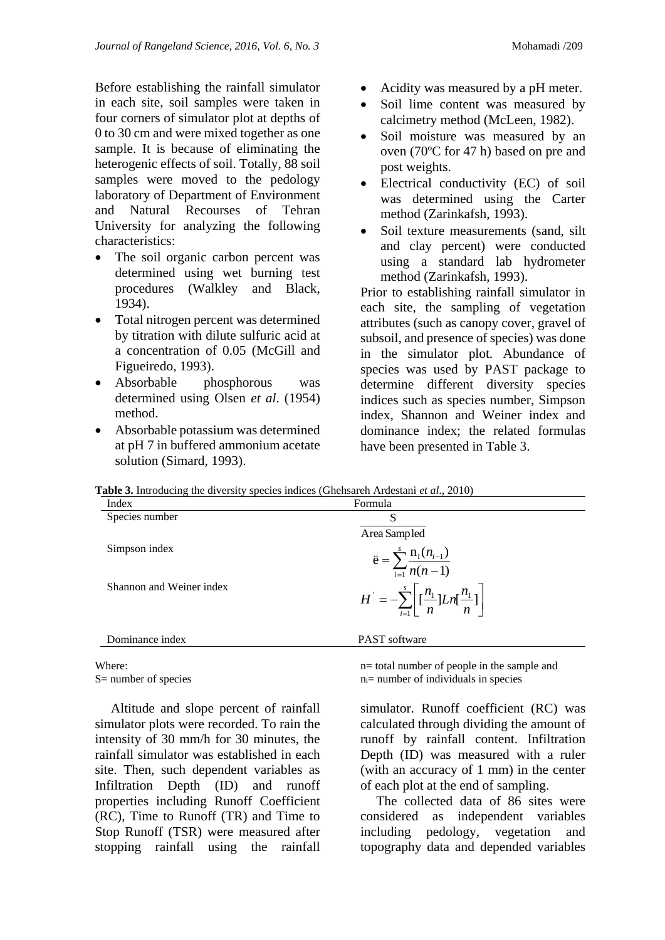Before establishing the rainfall simulator in each site, soil samples were taken in four corners of simulator plot at depths of 0 to 30 cm and were mixed together as one sample. It is because of eliminating the heterogenic effects of soil. Totally, 88 soil samples were moved to the pedology laboratory of Department of Environment and Natural Recourses of Tehran University for analyzing the following characteristics:

- The soil organic carbon percent was determined using wet burning test procedures (Walkley and Black, 1934).
- Total nitrogen percent was determined by titration with dilute sulfuric acid at a concentration of 0.05 (McGill and Figueiredo, 1993).
- Absorbable phosphorous was determined using Olsen *et al*. (1954) method.
- Absorbable potassium was determined at pH 7 in buffered ammonium acetate solution (Simard, 1993).
- Acidity was measured by a pH meter.
- Soil lime content was measured by calcimetry method (McLeen, 1982).
- Soil moisture was measured by an oven (70ºC for 47 h) based on pre and post weights.
- Electrical conductivity (EC) of soil was determined using the Carter method (Zarinkafsh, 1993).
- Soil texture measurements (sand, silt) and clay percent) were conducted using a standard lab hydrometer method (Zarinkafsh, 1993).

Prior to establishing rainfall simulator in each site, the sampling of vegetation attributes (such as canopy cover, gravel of subsoil, and presence of species) was done in the simulator plot. Abundance of species was used by PAST package to determine different diversity species indices such as species number, Simpson index, Shannon and Weiner index and dominance index; the related formulas have been presented in Table 3.

**Table 3.** Introducing the diversity species indices (Ghehsareh Ardestani *et al*., 2010)

| Index                    | Formula                                                                                                |
|--------------------------|--------------------------------------------------------------------------------------------------------|
| Species number           | S                                                                                                      |
|                          | Area Sampled                                                                                           |
| Simpson index            | $\ddot{e} = \sum_{i=1}^{s} \frac{n_i(n_{i-1})}{n(n-1)}$                                                |
| Shannon and Weiner index | $H^{'} = -\sum_{i=1}^{s} \left[ \left[ \frac{n_1}{n} \right] L n \left[ \frac{n_1}{n} \right] \right]$ |
| Dominance index          | <b>PAST</b> software                                                                                   |

#### Where:

S= number of species

Altitude and slope percent of rainfall simulator plots were recorded. To rain the intensity of 30 mm/h for 30 minutes, the rainfall simulator was established in each site. Then, such dependent variables as Infiltration Depth (ID) and runoff properties including Runoff Coefficient (RC), Time to Runoff (TR) and Time to Stop Runoff (TSR) were measured after stopping rainfall using the rainfall

n= total number of people in the sample and  $n_i$ = number of individuals in species

simulator. Runoff coefficient (RC) was calculated through dividing the amount of runoff by rainfall content. Infiltration Depth (ID) was measured with a ruler (with an accuracy of 1 mm) in the center of each plot at the end of sampling.

The collected data of 86 sites were considered as independent variables including pedology, vegetation and topography data and depended variables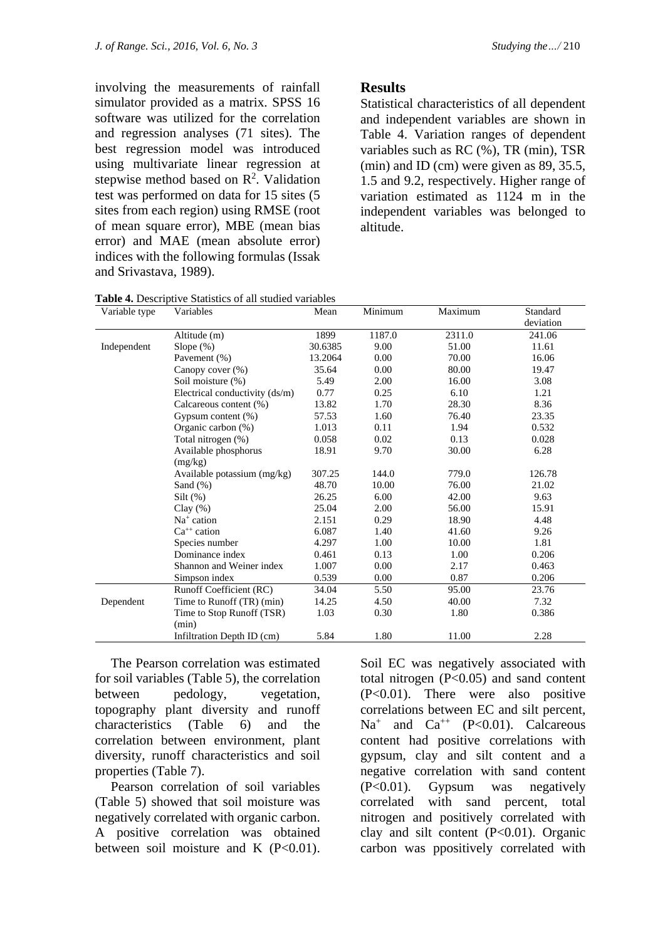involving the measurements of rainfall simulator provided as a matrix. SPSS 16 software was utilized for the correlation and regression analyses (71 sites). The best regression model was introduced using multivariate linear regression at stepwise method based on  $\mathbb{R}^2$ . Validation test was performed on data for 15 sites (5 sites from each region) using RMSE (root of mean square error), MBE (mean bias error) and MAE (mean absolute error) indices with the following formulas (Issak and Srivastava, 1989).

#### **Results**

Statistical characteristics of all dependent and independent variables are shown in Table 4. Variation ranges of dependent variables such as RC (%), TR (min), TSR (min) and ID (cm) were given as 89, 35.5, 1.5 and 9.2, respectively. Higher range of variation estimated as 1124 m in the independent variables was belonged to altitude.

| Table 4. Descriptive Statistics of all studied variables |  |
|----------------------------------------------------------|--|
|----------------------------------------------------------|--|

| Variable type | Variables                      | Mean    | Minimum | Maximum | Standard  |
|---------------|--------------------------------|---------|---------|---------|-----------|
|               |                                |         |         |         | deviation |
|               | Altitude (m)                   | 1899    | 1187.0  | 2311.0  | 241.06    |
| Independent   | Slope $(\%)$                   | 30.6385 | 9.00    | 51.00   | 11.61     |
|               | Pavement (%)                   | 13.2064 | 0.00    | 70.00   | 16.06     |
|               | Canopy cover (%)               | 35.64   | 0.00    | 80.00   | 19.47     |
|               | Soil moisture (%)              | 5.49    | 2.00    | 16.00   | 3.08      |
|               | Electrical conductivity (ds/m) | 0.77    | 0.25    | 6.10    | 1.21      |
|               | Calcareous content (%)         | 13.82   | 1.70    | 28.30   | 8.36      |
|               | Gypsum content (%)             | 57.53   | 1.60    | 76.40   | 23.35     |
|               | Organic carbon (%)             | 1.013   | 0.11    | 1.94    | 0.532     |
|               | Total nitrogen (%)             | 0.058   | 0.02    | 0.13    | 0.028     |
|               | Available phosphorus           | 18.91   | 9.70    | 30.00   | 6.28      |
|               | (mg/kg)                        |         |         |         |           |
|               | Available potassium (mg/kg)    | 307.25  | 144.0   | 779.0   | 126.78    |
|               | Sand $(\%)$                    | 48.70   | 10.00   | 76.00   | 21.02     |
|               | $Silt(\%)$                     | 26.25   | 6.00    | 42.00   | 9.63      |
|               | Clay $(\%)$                    | 25.04   | 2.00    | 56.00   | 15.91     |
|               | $Na+$ cation                   | 2.151   | 0.29    | 18.90   | 4.48      |
|               | $Ca^{++}$ cation               | 6.087   | 1.40    | 41.60   | 9.26      |
|               | Species number                 | 4.297   | 1.00    | 10.00   | 1.81      |
|               | Dominance index                | 0.461   | 0.13    | 1.00    | 0.206     |
|               | Shannon and Weiner index       | 1.007   | 0.00    | 2.17    | 0.463     |
|               | Simpson index                  | 0.539   | 0.00    | 0.87    | 0.206     |
|               | Runoff Coefficient (RC)        | 34.04   | 5.50    | 95.00   | 23.76     |
| Dependent     | Time to Runoff (TR) (min)      | 14.25   | 4.50    | 40.00   | 7.32      |
|               | Time to Stop Runoff (TSR)      | 1.03    | 0.30    | 1.80    | 0.386     |
|               | (min)                          |         |         |         |           |
|               | Infiltration Depth ID (cm)     | 5.84    | 1.80    | 11.00   | 2.28      |

The Pearson correlation was estimated for soil variables (Table 5), the correlation between pedology, vegetation, topography plant diversity and runoff characteristics (Table 6) and the correlation between environment, plant diversity, runoff characteristics and soil properties (Table 7).

Pearson correlation of soil variables (Table 5) showed that soil moisture was negatively correlated with organic carbon. A positive correlation was obtained between soil moisture and K  $(P<0.01)$ .

Soil EC was negatively associated with total nitrogen  $(P<0.05)$  and sand content (P<0.01). There were also positive correlations between EC and silt percent,  $Na<sup>+</sup>$  and  $Ca<sup>++</sup>$  (P<0.01). Calcareous content had positive correlations with gypsum, clay and silt content and a negative correlation with sand content (P<0.01). Gypsum was negatively correlated with sand percent, total nitrogen and positively correlated with clay and silt content  $(P<0.01)$ . Organic carbon was ppositively correlated with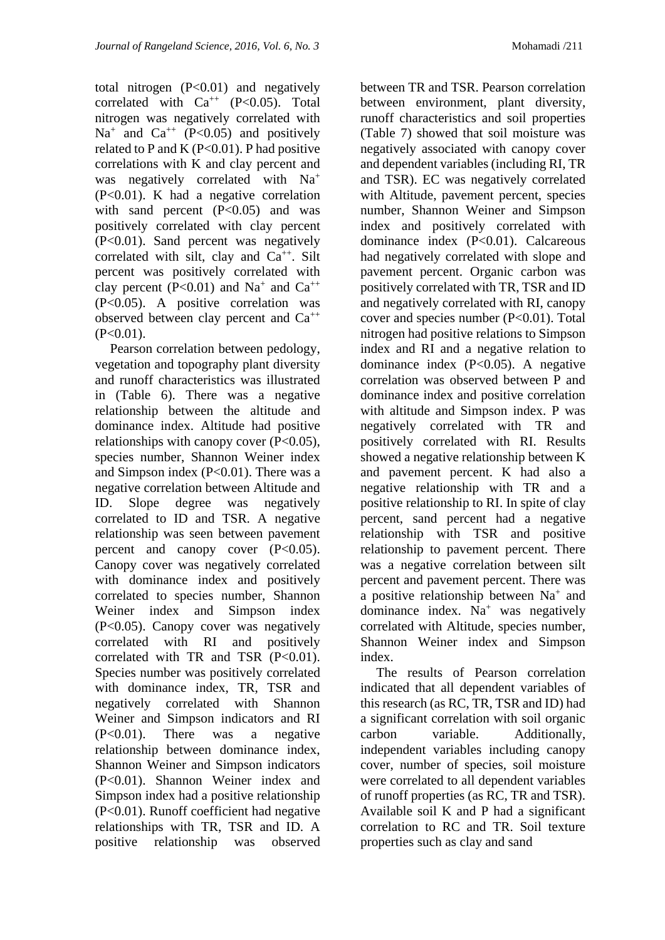total nitrogen  $(P<0.01)$  and negatively correlated with  $Ca^{++}$  (P<0.05). Total nitrogen was negatively correlated with Na<sup>+</sup> and Ca<sup>++</sup> (P<0.05) and positively related to P and K ( $P<0.01$ ). P had positive correlations with K and clay percent and was negatively correlated with Na<sup>+</sup> (P<0.01). K had a negative correlation with sand percent  $(P<0.05)$  and was positively correlated with clay percent (P<0.01). Sand percent was negatively correlated with silt, clay and  $Ca^{++}$ . Silt percent was positively correlated with clay percent (P<0.01) and  $Na^+$  and  $Ca^{++}$ (P<0.05). A positive correlation was observed between clay percent and  $Ca^{++}$  $(P<0.01)$ .

Pearson correlation between pedology, vegetation and topography plant diversity and runoff characteristics was illustrated in (Table 6). There was a negative relationship between the altitude and dominance index. Altitude had positive relationships with canopy cover  $(P<0.05)$ , species number, Shannon Weiner index and Simpson index  $(P<0.01)$ . There was a negative correlation between Altitude and ID. Slope degree was negatively correlated to ID and TSR. A negative relationship was seen between pavement percent and canopy cover  $(P<0.05)$ . Canopy cover was negatively correlated with dominance index and positively correlated to species number, Shannon Weiner index and Simpson index (P<0.05). Canopy cover was negatively correlated with RI and positively correlated with TR and TSR  $(P<0.01)$ . Species number was positively correlated with dominance index, TR, TSR and negatively correlated with Shannon Weiner and Simpson indicators and RI (P<0.01). There was a negative relationship between dominance index, Shannon Weiner and Simpson indicators (P<0.01). Shannon Weiner index and Simpson index had a positive relationship (P<0.01). Runoff coefficient had negative relationships with TR, TSR and ID. A positive relationship was observed

between TR and TSR. Pearson correlation between environment, plant diversity, runoff characteristics and soil properties (Table 7) showed that soil moisture was negatively associated with canopy cover and dependent variables (including RI, TR and TSR). EC was negatively correlated with Altitude, pavement percent, species number, Shannon Weiner and Simpson index and positively correlated with dominance index  $(P<0.01)$ . Calcareous had negatively correlated with slope and pavement percent. Organic carbon was positively correlated with TR, TSR and ID and negatively correlated with RI, canopy cover and species number  $(P<0.01)$ . Total nitrogen had positive relations to Simpson index and RI and a negative relation to dominance index  $(P<0.05)$ . A negative correlation was observed between P and dominance index and positive correlation with altitude and Simpson index. P was negatively correlated with TR and positively correlated with RI. Results showed a negative relationship between K and pavement percent. K had also a negative relationship with TR and a positive relationship to RI. In spite of clay percent, sand percent had a negative relationship with TSR and positive relationship to pavement percent. There was a negative correlation between silt percent and pavement percent. There was a positive relationship between Na<sup>+</sup> and dominance index.  $Na<sup>+</sup>$  was negatively correlated with Altitude, species number, Shannon Weiner index and Simpson index.

The results of Pearson correlation indicated that all dependent variables of this research (as RC, TR, TSR and ID) had a significant correlation with soil organic carbon variable. Additionally, independent variables including canopy cover, number of species, soil moisture were correlated to all dependent variables of runoff properties (as RC, TR and TSR). Available soil K and P had a significant correlation to RC and TR. Soil texture properties such as clay and sand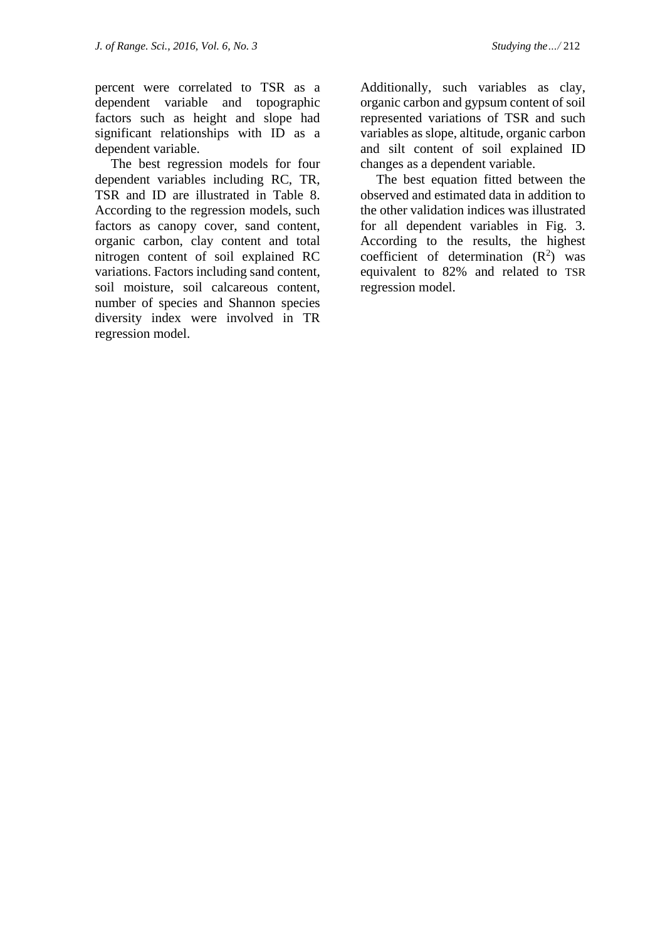percent were correlated to TSR as a dependent variable and topographic factors such as height and slope had significant relationships with ID as a dependent variable.

The best regression models for four dependent variables including RC, TR, TSR and ID are illustrated in Table 8. According to the regression models, such factors as canopy cover, sand content, organic carbon, clay content and total nitrogen content of soil explained RC variations. Factors including sand content, soil moisture, soil calcareous content, number of species and Shannon species diversity index were involved in TR regression model.

Additionally, such variables as clay, organic carbon and gypsum content of soil represented variations of TSR and such variables as slope, altitude, organic carbon and silt content of soil explained ID changes as a dependent variable.

The best equation fitted between the observed and estimated data in addition to the other validation indices was illustrated for all dependent variables in Fig. 3. According to the results, the highest coefficient of determination  $(R^2)$  was equivalent to 82% and related to TSR regression model.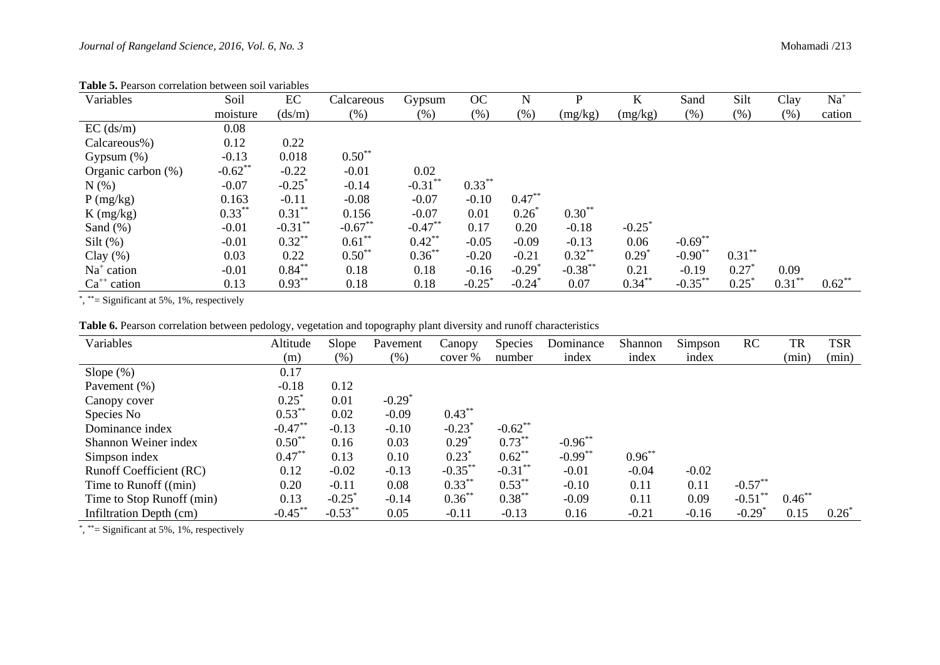| Variables          | Soil      | EC                   | Calcareous  | Gypsum     | OC        | N                    | D          | K                    | Sand       | Silt             | Clay      | $Na+$    |
|--------------------|-----------|----------------------|-------------|------------|-----------|----------------------|------------|----------------------|------------|------------------|-----------|----------|
|                    | moisture  | (ds/m)               | $(\%)$      | $(\%)$     | $(\%)$    | (%)                  | (mg/kg)    | (mg/kg)              | (% )       | (%)              | $(\%)$    | cation   |
| $EC$ (ds/m)        | 0.08      |                      |             |            |           |                      |            |                      |            |                  |           |          |
| Calcareous%)       | 0.12      | 0.22                 |             |            |           |                      |            |                      |            |                  |           |          |
| Gypsum $(\%)$      | $-0.13$   | 0.018                | $0.50^{**}$ |            |           |                      |            |                      |            |                  |           |          |
| Organic carbon (%) | $-0.62**$ | $-0.22$              | $-0.01$     | 0.02       |           |                      |            |                      |            |                  |           |          |
| N(%)               | $-0.07$   | $-0.25$ <sup>*</sup> | $-0.14$     | $-0.31***$ | $0.33***$ |                      |            |                      |            |                  |           |          |
| P(mg/kg)           | 0.163     | $-0.11$              | $-0.08$     | $-0.07$    | $-0.10$   | $0.47***$            |            |                      |            |                  |           |          |
| $K$ (mg/kg)        | $0.33***$ | $0.31***$            | 0.156       | $-0.07$    | 0.01      | $0.26^*$             | $0.30**$   |                      |            |                  |           |          |
| Sand $(\%)$        | $-0.01$   | $-0.31***$           | $-0.67**$   | $-0.47**$  | 0.17      | 0.20                 | $-0.18$    | $-0.25$ <sup>*</sup> |            |                  |           |          |
| Silt $(\%)$        | $-0.01$   | $0.32**$             | $0.61$ **   | $0.42$ *   | $-0.05$   | $-0.09$              | $-0.13$    | 0.06                 | $-0.69$ ** |                  |           |          |
| Clay $(\% )$       | 0.03      | 0.22                 | $0.50^{**}$ | $0.36^{*}$ | $-0.20$   | $-0.21$              | $0.32$ **  | $0.29*$              | $-0.90$ ** | $0.31***$        |           |          |
| $Na+$ cation       | $-0.01$   | $0.84***$            | 0.18        | 0.18       | $-0.16$   | $-0.29$ <sup>*</sup> | $-0.38***$ | 0.21                 | $-0.19$    | $0.27^{\degree}$ | 0.09      |          |
| $Ca^{++}$ cation   | 0.13      | $0.93***$            | 0.18        | 0.18       | $-0.25$   | $-0.24$              | 0.07       | $0.34***$            | $-0.35***$ | $0.25^*$         | $0.31***$ | $0.62**$ |

**Table 5.** Pearson correlation between soil variables

\*, \*\*= Significant at 5%, 1%, respectively

**Table 6.** Pearson correlation between pedology, vegetation and topography plant diversity and runoff characteristics

| Variables                      | Altitude    | Slope      | Pavement             | Canopy               | <b>Species</b> | Dominance  | Shannon   | Simpson | <b>RC</b>            | <b>TR</b> | <b>TSR</b> |
|--------------------------------|-------------|------------|----------------------|----------------------|----------------|------------|-----------|---------|----------------------|-----------|------------|
|                                | (m)         | $(\%)$     | $(\%)$               | cover %              | number         | index      | index     | index   |                      | (min)     | (min)      |
| Slope $(\%)$                   | 0.17        |            |                      |                      |                |            |           |         |                      |           |            |
| Pavement $(\% )$               | $-0.18$     | 0.12       |                      |                      |                |            |           |         |                      |           |            |
| Canopy cover                   | $0.25^*$    | 0.01       | $-0.29$ <sup>*</sup> |                      |                |            |           |         |                      |           |            |
| Species No                     | $0.53***$   | 0.02       | $-0.09$              | $0.43***$            |                |            |           |         |                      |           |            |
| Dominance index                | $-0.47***$  | $-0.13$    | $-0.10$              | $-0.23$ <sup>*</sup> | $-0.62$ **     |            |           |         |                      |           |            |
| Shannon Weiner index           | $0.50^{**}$ | 0.16       | 0.03                 | $0.29$ <sup>*</sup>  | $0.73***$      | $-0.96***$ |           |         |                      |           |            |
| Simpson index                  | $0.47***$   | 0.13       | 0.10                 | $0.23^{\degree}$     | $0.62**$       | $-0.99***$ | $0.96***$ |         |                      |           |            |
| <b>Runoff Coefficient (RC)</b> | 0.12        | $-0.02$    | $-0.13$              | $-0.35***$           | $-0.31***$     | $-0.01$    | $-0.04$   | $-0.02$ |                      |           |            |
| Time to Runoff ((min)          | 0.20        | $-0.11$    | 0.08                 | $0.33***$            | $0.53***$      | $-0.10$    | 0.11      | 0.11    | $-0.57***$           |           |            |
| Time to Stop Runoff (min)      | 0.13        | $-0.25$    | $-0.14$              | $0.36^{**}$          | $0.38***$      | $-0.09$    | 0.11      | 0.09    | $-0.51$ <sup>*</sup> | $0.46***$ |            |
| Infiltration Depth (cm)        | $-0.45***$  | $-0.53***$ | 0.05                 | $-0.11$              | $-0.13$        | 0.16       | $-0.21$   | $-0.16$ | $-0.29$ <sup>*</sup> | 0.15      | $0.26^*$   |

\*, \*\*= Significant at 5%, 1%, respectively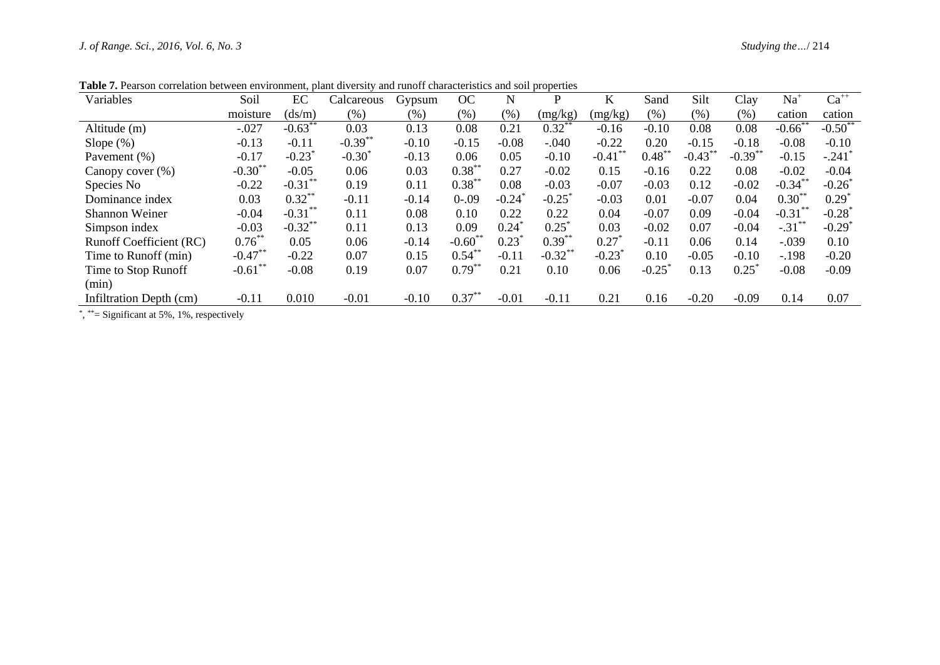| Variables                      | Soil        | EC         | Calcareous | Gypsum  | <b>OC</b>            | N                | P          | K                     | Sand      | Silt                  | Clay      | $Na+$                | $Ca^{++}$            |
|--------------------------------|-------------|------------|------------|---------|----------------------|------------------|------------|-----------------------|-----------|-----------------------|-----------|----------------------|----------------------|
|                                | moisture    | (ds/m)     | (% )       | $(\%)$  | (% )                 | $(\%)$           | (mg/kg)    | (mg/kg)               | (% )      | (%)                   | $(\% )$   | cation               | cation               |
| Altitude (m)                   | $-.027$     | $-0.63***$ | 0.03       | 0.13    | 0.08                 | 0.21             | $0.32***$  | $-0.16$               | $-0.10$   | 0.08                  | 0.08      | $-0.66$ **           | $-0.50**$            |
| Slope $(\%)$                   | $-0.13$     | $-0.11$    | $-0.39***$ | $-0.10$ | $-0.15$              | $-0.08$          | $-.040$    | $-0.22$               | 0.20      | $-0.15$               | $-0.18$   | $-0.08$              | $-0.10$              |
| Pavement (%)                   | $-0.17$     | $-0.23$    | $-0.30^*$  | $-0.13$ | 0.06                 | 0.05             | $-0.10$    | $-0.41$ <sup>**</sup> | $0.48***$ | $-0.43$ <sup>**</sup> | $-0.39**$ | $-0.15$              | $-.241$              |
| Canopy cover (%)               | $-0.30**$   | $-0.05$    | 0.06       | 0.03    | $0.38***$            | 0.27             | $-0.02$    | 0.15                  | $-0.16$   | 0.22                  | 0.08      | $-0.02$              | $-0.04$              |
| Species No                     | $-0.22$     | $-0.31***$ | 0.19       | 0.11    | $0.38^{**}$          | 0.08             | $-0.03$    | $-0.07$               | $-0.03$   | 0.12                  | $-0.02$   | $-0.34$ <sup>*</sup> | $-0.26$              |
| Dominance index                | 0.03        | $0.32***$  | $-0.11$    | $-0.14$ | $0 - .09$            | $-0.24$          | $-0.25$    | $-0.03$               | 0.01      | $-0.07$               | 0.04      | $0.30^{**}$          | $0.29$ <sup>*</sup>  |
| Shannon Weiner                 | $-0.04$     | $-0.31***$ | 0.11       | 0.08    | 0.10                 | 0.22             | 0.22       | 0.04                  | $-0.07$   | 0.09                  | $-0.04$   | $-0.31**$            | $-0.28$ <sup>*</sup> |
| Simpson index                  | $-0.03$     | $-0.32$ ** | 0.11       | 0.13    | 0.09                 | $0.24^{*}$       | $0.25^*$   | 0.03                  | $-0.02$   | 0.07                  | $-0.04$   | $-.31***$            | $-0.29$ <sup>*</sup> |
| <b>Runoff Coefficient (RC)</b> | $0.76^{**}$ | 0.05       | 0.06       | $-0.14$ | $-0.60$ <sup>*</sup> | $0.23^{\degree}$ | $0.39***$  | 0.27                  | $-0.11$   | 0.06                  | 0.14      | $-.039$              | 0.10                 |
| Time to Runoff (min)           | $-0.47***$  | $-0.22$    | 0.07       | 0.15    | $0.54***$            | $-0.11$          | $-0.32$ ** | $-0.23$               | 0.10      | $-0.05$               | $-0.10$   | $-.198$              | $-0.20$              |
| Time to Stop Runoff            | $-0.61***$  | $-0.08$    | 0.19       | 0.07    | $0.79***$            | 0.21             | 0.10       | 0.06                  | $-0.25$   | 0.13                  | 0.25      | $-0.08$              | $-0.09$              |
| (min)                          |             |            |            |         |                      |                  |            |                       |           |                       |           |                      |                      |
| Infiltration Depth (cm)        | $-0.11$     | 0.010      | $-0.01$    | $-0.10$ | $0.37***$            | $-0.01$          | $-0.11$    | 0.21                  | 0.16      | $-0.20$               | $-0.09$   | 0.14                 | 0.07                 |

**Table 7.** Pearson correlation between environment, plant diversity and runoff characteristics and soil properties

\*, \*\*= Significant at 5%, 1%, respectively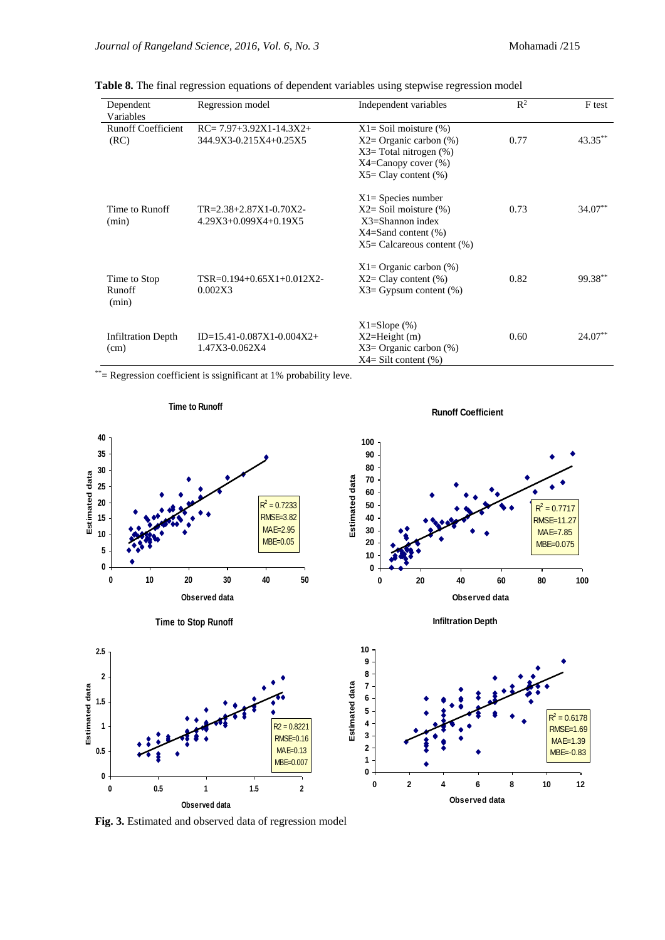$R^2 = 0.7717$ RMSE=11.27 MAE=7.85 MBE=0.075

> $R^2 = 0.6178$ RMSE=1.69 MAE=1.39 MBE=-0.83

| Independent variables                                                                                                                                                                                      | $\mathbb{R}^2$                                                                                                                                                                                                                                                                                                                                                                                                                 | F test                       |
|------------------------------------------------------------------------------------------------------------------------------------------------------------------------------------------------------------|--------------------------------------------------------------------------------------------------------------------------------------------------------------------------------------------------------------------------------------------------------------------------------------------------------------------------------------------------------------------------------------------------------------------------------|------------------------------|
|                                                                                                                                                                                                            |                                                                                                                                                                                                                                                                                                                                                                                                                                |                              |
|                                                                                                                                                                                                            |                                                                                                                                                                                                                                                                                                                                                                                                                                |                              |
|                                                                                                                                                                                                            |                                                                                                                                                                                                                                                                                                                                                                                                                                | 43.35**                      |
|                                                                                                                                                                                                            |                                                                                                                                                                                                                                                                                                                                                                                                                                |                              |
|                                                                                                                                                                                                            |                                                                                                                                                                                                                                                                                                                                                                                                                                |                              |
|                                                                                                                                                                                                            |                                                                                                                                                                                                                                                                                                                                                                                                                                |                              |
|                                                                                                                                                                                                            |                                                                                                                                                                                                                                                                                                                                                                                                                                |                              |
|                                                                                                                                                                                                            |                                                                                                                                                                                                                                                                                                                                                                                                                                | 34.07**                      |
| $X3 =$ Shannon index                                                                                                                                                                                       |                                                                                                                                                                                                                                                                                                                                                                                                                                |                              |
|                                                                                                                                                                                                            |                                                                                                                                                                                                                                                                                                                                                                                                                                |                              |
| $X5=$ Calcareous content $(\%)$                                                                                                                                                                            |                                                                                                                                                                                                                                                                                                                                                                                                                                |                              |
|                                                                                                                                                                                                            |                                                                                                                                                                                                                                                                                                                                                                                                                                |                              |
|                                                                                                                                                                                                            |                                                                                                                                                                                                                                                                                                                                                                                                                                | 99.38**                      |
|                                                                                                                                                                                                            |                                                                                                                                                                                                                                                                                                                                                                                                                                |                              |
|                                                                                                                                                                                                            |                                                                                                                                                                                                                                                                                                                                                                                                                                |                              |
|                                                                                                                                                                                                            |                                                                                                                                                                                                                                                                                                                                                                                                                                |                              |
|                                                                                                                                                                                                            |                                                                                                                                                                                                                                                                                                                                                                                                                                | $24.07**$                    |
|                                                                                                                                                                                                            |                                                                                                                                                                                                                                                                                                                                                                                                                                |                              |
|                                                                                                                                                                                                            |                                                                                                                                                                                                                                                                                                                                                                                                                                |                              |
| Regression model<br>$RC = 7.97 + 3.92X1 - 14.3X2 +$<br>344.9X3-0.215X4+0.25X5<br>$TR = 2.38 + 2.87X1 - 0.70X2$<br>4.29X3+0.099X4+0.19X5<br>$TSR = 0.194 + 0.65X1 + 0.012X2$<br>$ID=15.41-0.087X1-0.004X2+$ | $X1 = Soil moisture (\%)$<br>$X2 =$ Organic carbon $(\%)$<br>$X3 = Total nitrogen (\%)$<br>$X4 =$ Canopy cover $(\%)$<br>$X5 = Clay content (%)$<br>$X1 =$ Species number<br>$X2 =$ Soil moisture $(\%)$<br>$X4 = Sand content (%)$<br>$X1 =$ Organic carbon $(\%)$<br>$X2 = Clay content (%)$<br>$X3=Gy$ sum content $(\%)$<br>$X1 = Slope(%)$<br>$X2 = Height(m)$<br>$X3 =$ Organic carbon $(\%)$<br>$X4 = Silt content (%)$ | 0.77<br>0.73<br>0.82<br>0.60 |

**Table 8.** The final regression equations of dependent variables using stepwise regression model

\*\*= Regression coefficient is ssignificant at 1% probability leve.



**Time to Runoff**

**Runoff Coefficient**

**Fig. 3.** Estimated and observed data of regression model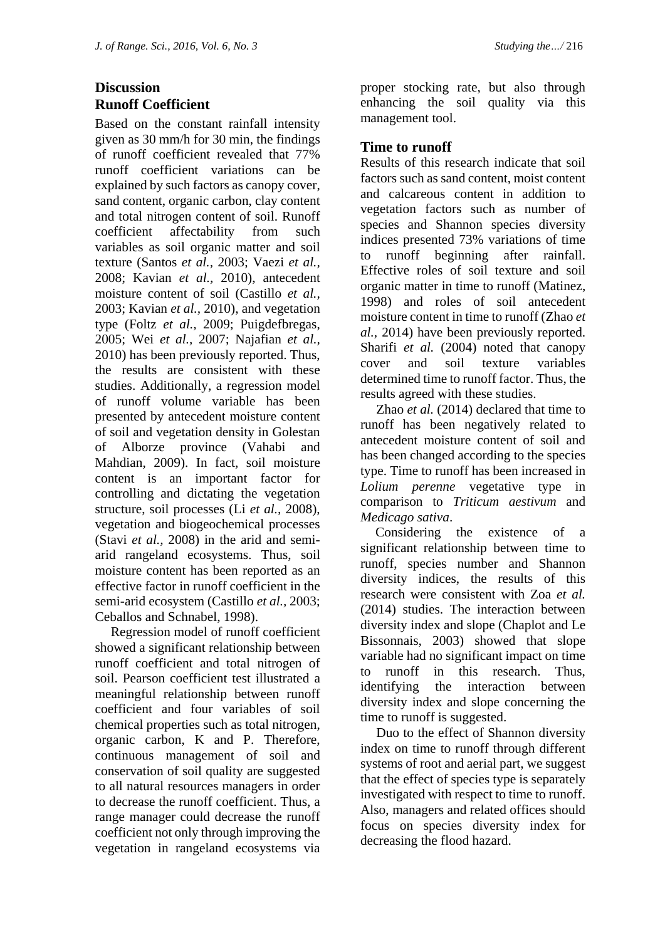#### **Discussion Runoff Coefficient**

Based on the constant rainfall intensity given as 30 mm/h for 30 min, the findings of runoff coefficient revealed that 77% runoff coefficient variations can be explained by such factors as canopy cover, sand content, organic carbon, clay content and total nitrogen content of soil. Runoff coefficient affectability from such variables as soil organic matter and soil texture (Santos *et al.,* 2003; Vaezi *et al.,* 2008; Kavian *et al.,* 2010), antecedent moisture content of soil (Castillo *et al.,* 2003; Kavian *et al.,* 2010), and vegetation type (Foltz *et al.,* 2009; Puigdefbregas, 2005; Wei *et al.,* 2007; Najafian *et al.,* 2010) has been previously reported. Thus, the results are consistent with these studies. Additionally, a regression model of runoff volume variable has been presented by antecedent moisture content of soil and vegetation density in Golestan of Alborze province (Vahabi and Mahdian, 2009). In fact, soil moisture content is an important factor for controlling and dictating the vegetation structure, soil processes (Li *et al.,* 2008), vegetation and biogeochemical processes (Stavi *et al.,* 2008) in the arid and semiarid rangeland ecosystems. Thus, soil moisture content has been reported as an effective factor in runoff coefficient in the semi-arid ecosystem (Castillo *et al.,* 2003; Ceballos and Schnabel, 1998).

Regression model of runoff coefficient showed a significant relationship between runoff coefficient and total nitrogen of soil. Pearson coefficient test illustrated a meaningful relationship between runoff coefficient and four variables of soil chemical properties such as total nitrogen, organic carbon, K and P. Therefore, continuous management of soil and conservation of soil quality are suggested to all natural resources managers in order to decrease the runoff coefficient. Thus, a range manager could decrease the runoff coefficient not only through improving the vegetation in rangeland ecosystems via

proper stocking rate, but also through enhancing the soil quality via this management tool.

#### **Time to runoff**

Results of this research indicate that soil factors such as sand content, moist content and calcareous content in addition to vegetation factors such as number of species and Shannon species diversity indices presented 73% variations of time to runoff beginning after rainfall. Effective roles of soil texture and soil organic matter in time to runoff (Matinez, 1998) and roles of soil antecedent moisture content in time to runoff (Zhao *et al.,* 2014) have been previously reported. Sharifi *et al.* (2004) noted that canopy cover and soil texture variables determined time to runoff factor. Thus, the results agreed with these studies.

Zhao *et al.* (2014) declared that time to runoff has been negatively related to antecedent moisture content of soil and has been changed according to the species type. Time to runoff has been increased in *Lolium perenne* vegetative type in comparison to *Triticum aestivum* and *Medicago sativa*.

Considering the existence of a significant relationship between time to runoff, species number and Shannon diversity indices, the results of this research were consistent with Zoa *et al.* (2014) studies. The interaction between diversity index and slope (Chaplot and Le Bissonnais, 2003) showed that slope variable had no significant impact on time to runoff in this research. Thus, identifying the interaction between diversity index and slope concerning the time to runoff is suggested.

Duo to the effect of Shannon diversity index on time to runoff through different systems of root and aerial part, we suggest that the effect of species type is separately investigated with respect to time to runoff. Also, managers and related offices should focus on species diversity index for decreasing the flood hazard.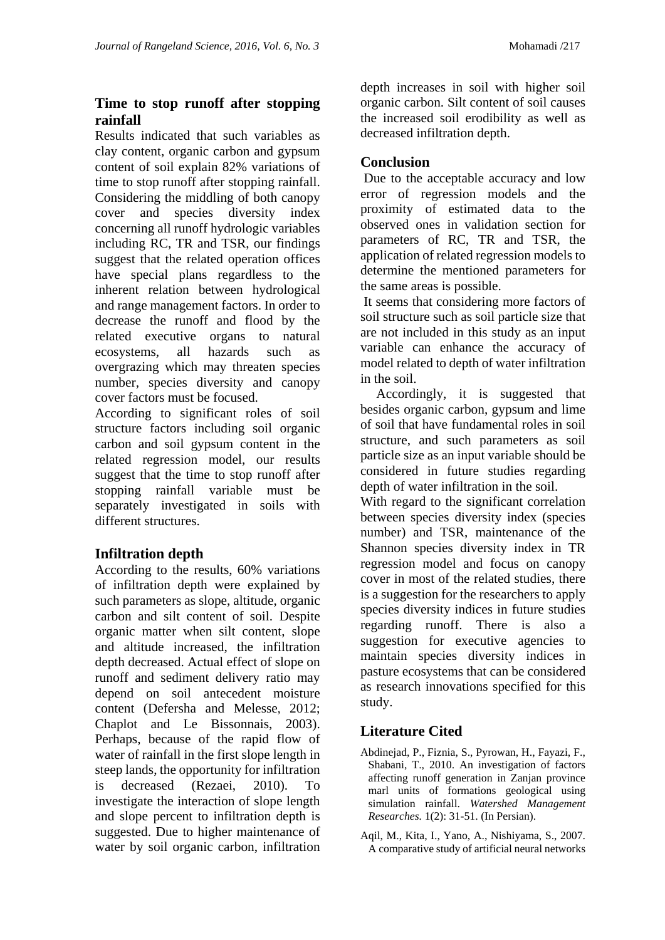#### **Time to stop runoff after stopping rainfall**

Results indicated that such variables as clay content, organic carbon and gypsum content of soil explain 82% variations of time to stop runoff after stopping rainfall. Considering the middling of both canopy cover and species diversity index concerning all runoff hydrologic variables including RC, TR and TSR, our findings suggest that the related operation offices have special plans regardless to the inherent relation between hydrological and range management factors. In order to decrease the runoff and flood by the related executive organs to natural ecosystems, all hazards such as overgrazing which may threaten species number, species diversity and canopy cover factors must be focused.

According to significant roles of soil structure factors including soil organic carbon and soil gypsum content in the related regression model, our results suggest that the time to stop runoff after stopping rainfall variable must be separately investigated in soils with different structures.

#### **Infiltration depth**

According to the results, 60% variations of infiltration depth were explained by such parameters as slope, altitude, organic carbon and silt content of soil. Despite organic matter when silt content, slope and altitude increased, the infiltration depth decreased. Actual effect of slope on runoff and sediment delivery ratio may depend on soil antecedent moisture content (Defersha and Melesse, 2012; Chaplot and Le Bissonnais, 2003). Perhaps, because of the rapid flow of water of rainfall in the first slope length in steep lands, the opportunity for infiltration is decreased (Rezaei, 2010). To investigate the interaction of slope length and slope percent to infiltration depth is suggested. Due to higher maintenance of water by soil organic carbon, infiltration

depth increases in soil with higher soil organic carbon. Silt content of soil causes the increased soil erodibility as well as decreased infiltration depth.

#### **Conclusion**

Due to the acceptable accuracy and low error of regression models and the proximity of estimated data to the observed ones in validation section for parameters of RC, TR and TSR, the application of related regression models to determine the mentioned parameters for the same areas is possible.

It seems that considering more factors of soil structure such as soil particle size that are not included in this study as an input variable can enhance the accuracy of model related to depth of water infiltration in the soil.

Accordingly, it is suggested that besides organic carbon, gypsum and lime of soil that have fundamental roles in soil structure, and such parameters as soil particle size as an input variable should be considered in future studies regarding depth of water infiltration in the soil.

With regard to the significant correlation between species diversity index (species number) and TSR, maintenance of the Shannon species diversity index in TR regression model and focus on canopy cover in most of the related studies, there is a suggestion for the researchers to apply species diversity indices in future studies regarding runoff. There is also a suggestion for executive agencies to maintain species diversity indices in pasture ecosystems that can be considered as research innovations specified for this study.

#### **Literature Cited**

- Abdinejad, P., Fiznia, S., Pyrowan, H., Fayazi, F., Shabani, T., 2010. An investigation of factors affecting runoff generation in Zanjan province marl units of formations geological using simulation rainfall. *Watershed Management Researches.* 1(2): 31-51. (In Persian).
- Aqil, M., Kita, I., Yano, A., Nishiyama, S., 2007. A comparative study of artificial neural networks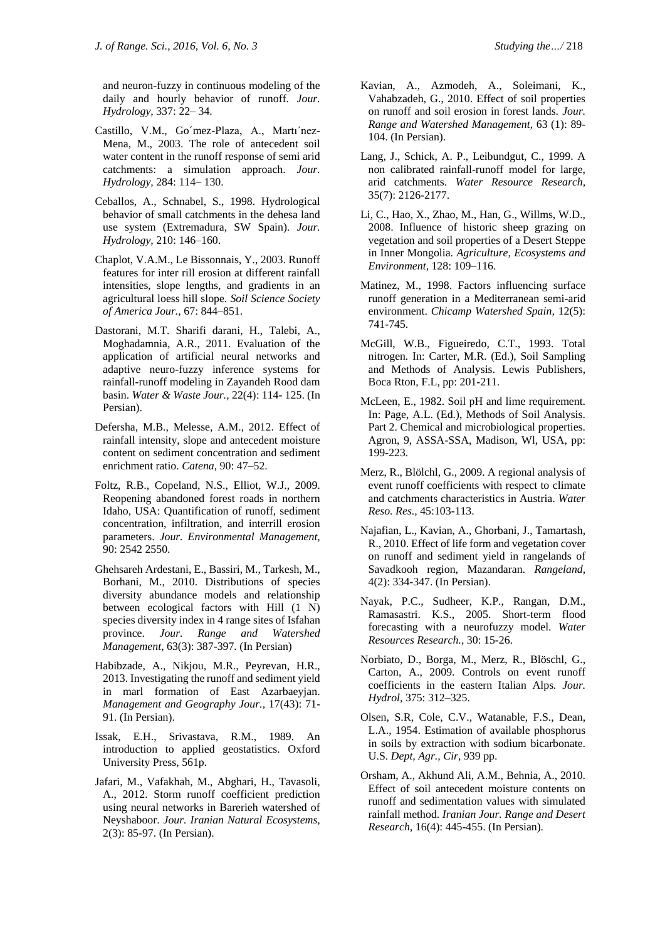and neuron-fuzzy in continuous modeling of the daily and hourly behavior of runoff. *Jour. Hydrology,* 337: 22– 34.

- Castillo, V.M., Go´mez-Plaza, A., Martı´nez-Mena, M., 2003. The role of antecedent soil water content in the runoff response of semi arid catchments: a simulation approach. *Jour. Hydrology,* 284: 114– 130.
- Ceballos, A., Schnabel, S., 1998. Hydrological behavior of small catchments in the dehesa land use system (Extremadura, SW Spain). *Jour. Hydrology,* 210: 146–160.
- Chaplot, V.A.M., Le Bissonnais, Y., 2003. Runoff features for inter rill erosion at different rainfall intensities, slope lengths, and gradients in an agricultural loess hill slope*. Soil Science Society of America Jour.,* 67: 844–851.
- Dastorani, M.T. Sharifi darani, H., Talebi, A., Moghadamnia, A.R., 2011. Evaluation of the application of artificial neural networks and adaptive neuro-fuzzy inference systems for rainfall-runoff modeling in Zayandeh Rood dam basin. *Water & Waste Jour.,* 22(4): 114- 125. (In Persian).
- Defersha, M.B., Melesse, A.M., 2012. Effect of rainfall intensity, slope and antecedent moisture content on sediment concentration and sediment enrichment ratio. *Catena,* 90: 47–52.
- Foltz, R.B., Copeland, N.S., Elliot, W.J., 2009. Reopening abandoned forest roads in northern Idaho, USA: Quantification of runoff, sediment concentration, infiltration, and interrill erosion parameters. *Jour. Environmental Management,* 90: 2542 2550.
- Ghehsareh Ardestani, E., Bassiri, M., Tarkesh, M., Borhani, M., 2010. Distributions of species diversity abundance models and relationship between ecological factors with Hill (1 N) species diversity index in 4 range sites of Isfahan province. *Jour. Range and Watershed Management*, 63(3): 387-397. (In Persian)
- Habibzade, A., Nikjou, M.R., Peyrevan, H.R., 2013. Investigating the runoff and sediment yield in marl formation of East Azarbaeyjan. *Management and Geography Jour.,* 17(43): 71- 91. (In Persian).
- Issak, E.H., Srivastava, R.M., 1989. An introduction to applied geostatistics. Oxford University Press, 561p.
- Jafari, M., Vafakhah, M., Abghari, H., Tavasoli, A., 2012. Storm runoff coefficient prediction using neural networks in Barerieh watershed of Neyshaboor. *Jour. Iranian Natural Ecosystems,* 2(3): 85-97. (In Persian).
- Kavian, A., Azmodeh, A., Soleimani, K., Vahabzadeh, G., 2010. Effect of soil properties on runoff and soil erosion in forest lands. *Jour. Range and Watershed Management,* 63 (1): 89- 104. (In Persian).
- Lang, J., Schick, A. P., Leibundgut, C., 1999. A non calibrated rainfall-runoff model for large, arid catchments. *Water Resource Research,* 35(7): 2126-2177.
- Li, C., Hao, X., Zhao, M., Han, G., Willms, W.D., 2008. Influence of historic sheep grazing on vegetation and soil properties of a Desert Steppe in Inner Mongolia. *Agriculture, Ecosystems and Environment,* 128: 109–116.
- Matinez, M., 1998. Factors influencing surface runoff generation in a Mediterranean semi-arid environment. *Chicamp Watershed Spain,* 12(5): 741-745.
- McGill, W.B., Figueiredo, C.T., 1993. Total nitrogen. In: Carter, M.R. (Ed.), Soil Sampling and Methods of Analysis. Lewis Publishers, Boca Rton, F.L, pp: 201-211.
- McLeen, E., 1982. Soil pH and lime requirement. In: Page, A.L. (Ed.), Methods of Soil Analysis. Part 2. Chemical and microbiological properties. Agron, 9, ASSA-SSA, Madison, Wl, USA, pp: 199-223.
- Merz, R., Blölchl, G., 2009. A regional analysis of event runoff coefficients with respect to climate and catchments characteristics in Austria. *Water Reso. Res.,* 45:103-113.
- Najafian, L., Kavian, A., Ghorbani, J., Tamartash, R., 2010. Effect of life form and vegetation cover on runoff and sediment yield in rangelands of Savadkooh region, Mazandaran. *Rangeland,* 4(2): 334-347. (In Persian).
- Nayak, P.C., Sudheer, K.P., Rangan, D.M., Ramasastri. K.S., 2005. Short-term flood forecasting with a neurofuzzy model. *Water Resources Research.,* 30: 15-26.
- Norbiato, D., Borga, M., Merz, R., Blöschl, G., Carton, A., 2009. Controls on event runoff coefficients in the eastern Italian Alps*. Jour. Hydrol,* 375: 312–325.
- Olsen, S.R, Cole, C.V., Watanable, F.S., Dean, L.A., 1954. Estimation of available phosphorus in soils by extraction with sodium bicarbonate. U.S. *Dept, Agr., Cir*, 939 pp.
- Orsham, A., Akhund Ali, A.M., Behnia, A., 2010. Effect of soil antecedent moisture contents on runoff and sedimentation values with simulated rainfall method. *Iranian Jour. Range and Desert Research,* 16(4): 445-455. (In Persian).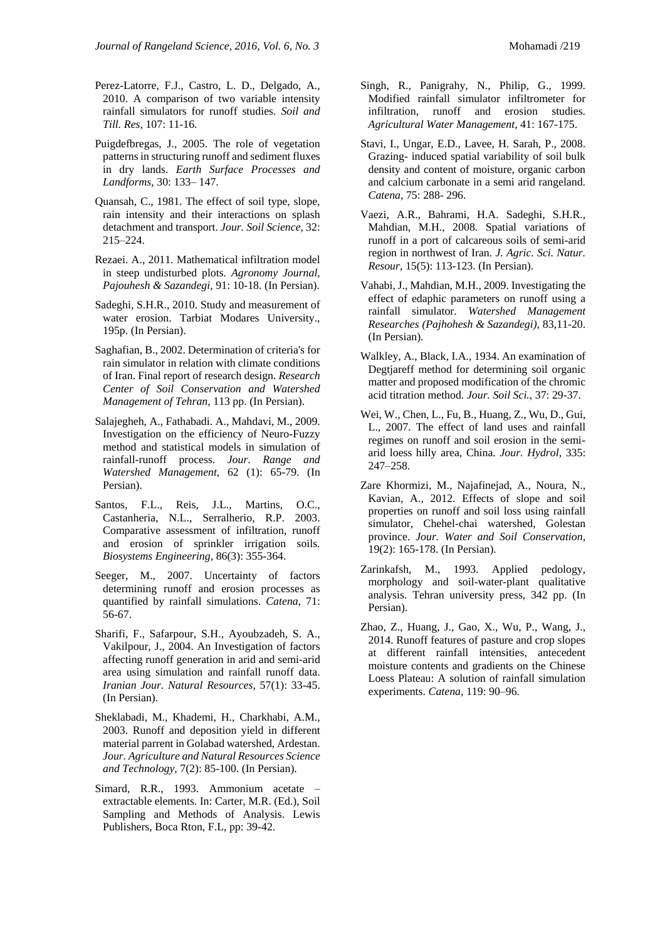- Perez-Latorre, F.J., Castro, L. D., Delgado, A., 2010. A comparison of two variable intensity rainfall simulators for runoff studies. *Soil and Till. Res,* 107: 11-16.
- Puigdefbregas, J., 2005. The role of vegetation patterns in structuring runoff and sediment fluxes in dry lands. *Earth Surface Processes and Landforms,* 30: 133– 147.
- Quansah, C., 1981. The effect of soil type, slope, rain intensity and their interactions on splash detachment and transport. *Jour. Soil Science,* 32: 215–224.
- Rezaei. A., 2011. Mathematical infiltration model in steep undisturbed plots. *Agronomy Journal, Pajouhesh & Sazandegi,* 91: 10-18. (In Persian).
- Sadeghi, S.H.R., 2010. Study and measurement of water erosion. Tarbiat Modares University., 195p. (In Persian).
- Saghafian, B., 2002. Determination of criteria's for rain simulator in relation with climate conditions of Iran. Final report of research design. *Research Center of Soil Conservation and Watershed Management of Tehran,* 113 pp. (In Persian).
- Salajegheh, A., Fathabadi. A., Mahdavi, M., 2009. Investigation on the efficiency of Neuro-Fuzzy method and statistical models in simulation of rainfall-runoff process. *Jour*. *Range and Watershed Management,* 62 (1): 65-79. (In Persian).
- Santos, F.L., Reis, J.L., Martins, O.C., Castanheria, N.L., Serralherio, R.P. 2003. Comparative assessment of infiltration, runoff and erosion of sprinkler irrigation soils. *Biosystems Engineering,* 86(3): 355-364.
- Seeger, M., 2007. Uncertainty of factors determining runoff and erosion processes as quantified by rainfall simulations. *Catena,* 71: 56-67.
- Sharifi, F., Safarpour, S.H., Ayoubzadeh, S. A., Vakilpour, J., 2004. An Investigation of factors affecting runoff generation in arid and semi-arid area using simulation and rainfall runoff data. *Iranian Jour. Natural Resources,* 57(1): 33-45. (In Persian).
- Sheklabadi, M., Khademi, H., Charkhabi, A.M., 2003. Runoff and deposition yield in different material parrent in Golabad watershed, Ardestan. *Jour. Agriculture and Natural Resources Science and Technology,* 7(2): 85-100. (In Persian).
- Simard, R.R., 1993. Ammonium acetate extractable elements. In: Carter, M.R. (Ed.), Soil Sampling and Methods of Analysis. Lewis Publishers, Boca Rton, F.L, pp: 39-42.
- Singh, R., Panigrahy, N., Philip, G., 1999. Modified rainfall simulator infiltrometer for infiltration, runoff and erosion studies. *Agricultural Water Management,* 41: 167-175.
- Stavi, I., Ungar, E.D., Lavee, H. Sarah, P., 2008. Grazing- induced spatial variability of soil bulk density and content of moisture, organic carbon and calcium carbonate in a semi arid rangeland. *Catena,* 75: 288- 296.
- Vaezi, A.R., Bahrami, H.A. Sadeghi, S.H.R., Mahdian, M.H., 2008. Spatial variations of runoff in a port of calcareous soils of semi-arid region in northwest of Iran. *J. Agric. Sci. Natur. Resour,* 15(5): 113-123. (In Persian).
- Vahabi, J., Mahdian, M.H., 2009. Investigating the effect of edaphic parameters on runoff using a rainfall simulator. *Watershed Management Researches (Pajhohesh & Sazandegi),* 83,11-20. (In Persian).
- Walkley, A., Black, I.A., 1934. An examination of Degtjareff method for determining soil organic matter and proposed modification of the chromic acid titration method. *Jour. Soil Sci.*, 37: 29-37.
- Wei, W., Chen, L., Fu, B., Huang, Z., Wu, D., Gui, L., 2007. The effect of land uses and rainfall regimes on runoff and soil erosion in the semiarid loess hilly area, China. *Jour. Hydrol,* 335: 247–258.
- Zare Khormizi, M., Najafinejad, A., Noura, N., Kavian, A., 2012. Effects of slope and soil properties on runoff and soil loss using rainfall simulator, Chehel-chai watershed, Golestan province. *Jour. Water and Soil Conservation,* 19(2): 165-178. (In Persian).
- Zarinkafsh, M., 1993. Applied pedology, morphology and soil-water-plant qualitative analysis. Tehran university press, 342 pp. (In Persian).
- Zhao, Z., Huang, J., Gao, X., Wu, P., Wang, J., 2014. Runoff features of pasture and crop slopes at different rainfall intensities, antecedent moisture contents and gradients on the Chinese Loess Plateau: A solution of rainfall simulation experiments. *Catena,* 119: 90–96.